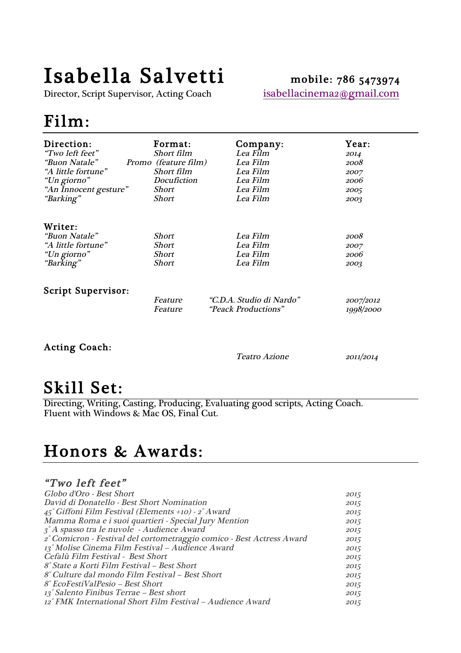# Isabella Salvetti mobile: 786 5473974<br>Director, Script Supervisor, Acting Coach isabellacinema2@gmail.com

Director, Script Supervisor, Acting Coach

# Film:

| Direction:                                                                 | Format:                                        | Company:                                     | <b>Year:</b>                 |
|----------------------------------------------------------------------------|------------------------------------------------|----------------------------------------------|------------------------------|
| "Two left feet"                                                            | Short film                                     | Lea Film                                     | 2014                         |
| <i>"Buon Natale"</i>                                                       | Promo (feature film)                           | Lea Film                                     | 2008                         |
| "A little fortune"                                                         | Short film                                     | Lea Film                                     | 2007                         |
| "Un giorno"                                                                | Docufiction                                    | Lea Film                                     | 2006                         |
| "An Innocent gesture"                                                      | Short                                          | Lea Film                                     | 2005                         |
| "Barking"                                                                  | <b>Short</b>                                   | Lea Film                                     | 2003                         |
| Writer:<br>"Buon Natale"<br>"A little fortune"<br>"Un giorno"<br>"Barking" | <b>Short</b><br><b>Short</b><br>Short<br>Short | Lea Film<br>Lea Film<br>Lea Film<br>Lea Film | 2008<br>2007<br>2006<br>2003 |
| <b>Script Supervisor:</b>                                                  | Feature                                        | "C.D.A. Studio di Nardo"                     | 2007/2012                    |
|                                                                            | <i>Feature</i>                                 | <i>"Peack Productions"</i>                   | 1998/2000                    |

### Acting Coach:

Teatro Azione 2011/2014

 $\textbf{Still Set:} \ \textcolor{red}{\text{Directing, Writing, Casting, Producing, Evaluating good scripts, Acting Coach.}}$ Fluent with Windows & Mac OS, Final Cut.

# Honors & Awards:

### "Two left feet"

| Globo d'Oro - Best Short                                              | 2015 |
|-----------------------------------------------------------------------|------|
| David di Donatello - Best Short Nomination                            | 2015 |
| $45^{\circ}$ Giffoni Film Festival (Elements +10) - $2^{\circ}$ Award | 2015 |
| Mamma Roma e i suoi quartieri - Special Jury Mention                  | 2015 |
| $\chi^2$ $\Lambda$ spasso tra le nuvole - Audience Award              | 2015 |
| 2° Comicron - Festival del cortometraggio comico - Best Actress Award | 2015 |
| 13° Molise Cinema Film Festival – Audience Award                      | 2015 |
| Cefalù Film Festival - Best Short                                     | 2015 |
| 8° State a Korti Film Festival – Best Short                           | 2015 |
| 8° Culture dal mondo Film Festival – Best Short                       | 2015 |
| 8° EcoFestiValPesio – Best Short                                      | 2015 |
| 13° Salento Finibus Terrae – Best short                               | 2015 |
| 12° FMK International Short Film Festival – Audience Award            | 2015 |
|                                                                       |      |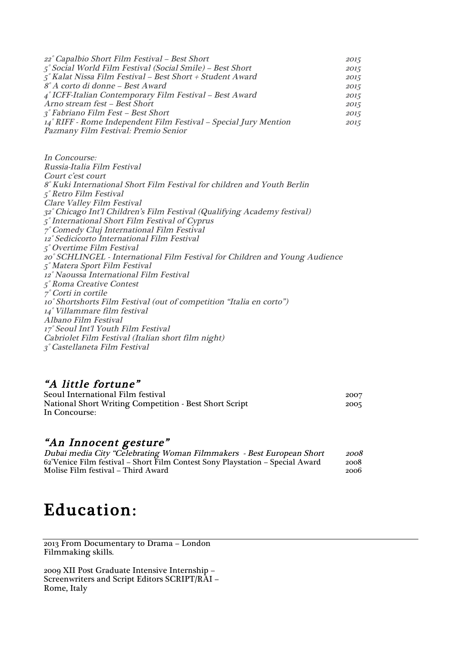| 22° Capalbio Short Film Festival – Best Short                        | 2015 |
|----------------------------------------------------------------------|------|
| $5^{\circ}$ Social World Film Festival (Social Smile) – Best Short   | 2015 |
| $5^\circ$ Kalat Nissa Film Festival – Best Short + Student Award     | 2015 |
| 8° A corto di donne – Best Award                                     | 2015 |
| $\frac{1}{4}$ ° ICFF-Italian Contemporary Film Festival – Best Award | 2015 |
| Arno stream fest - Best Short                                        | 2015 |
| 3° Fabriano Film Fest – Best Short                                   | 2015 |
| 14° RIFF - Rome Independent Film Festival – Special Jury Mention     | 2015 |
| Pazmany Film Festival: Premio Senior                                 |      |

In Concourse: Russia-Italia Film Festival Court c'est court ° Kuki International Short Film Festival for children and Youth Berlin ° Retro Film Festival Clare Valley Film Festival ° Chicago Int'l Children's Film Festival (Qualifying Academy festival) ° International Short Film Festival of Cyprus ° Comedy Cluj International Film Festival ° Sedicicorto International Film Festival ° Overtime Film Festival ° SCHLINGEL - International Film Festival for Children and Young Audience ° Matera Sport Film Festival ° Naoussa International Film Festival ° Roma Creative Contest ° Corti in cortile ° Shortshorts Film Festival (out of competition "Italia en corto") ° Villammare film festival Albano Film Festival ° Seoul Int'l Youth Film Festival Cabriolet Film Festival (Italian short film night) ° Castellaneta Film Festival

### "A little fortune"

| Seoul International Film festival                             | 2007 |
|---------------------------------------------------------------|------|
| <b>National Short Writing Competition - Best Short Script</b> | 2005 |
| In Concourse:                                                 |      |

*"An Innocent gesture"*<br> *Dubai media City "Celebrating Woman Filmmakers - Best European Short 2008*<br>
62°Venice Film festival – Short Film Contest Sony Playstation – Special Award 2008 62°Venice Film festival – Short Film Contest Sony Playstation – Special Award 2008 Molise Film festival - Third Award

## Education:

2013 From Documentary to Drama – London Filmmaking skills.

2009 XII Post Graduate Intensive Internship – Screenwriters and Script Editors SCRIPT/RAI – Rome, Italy